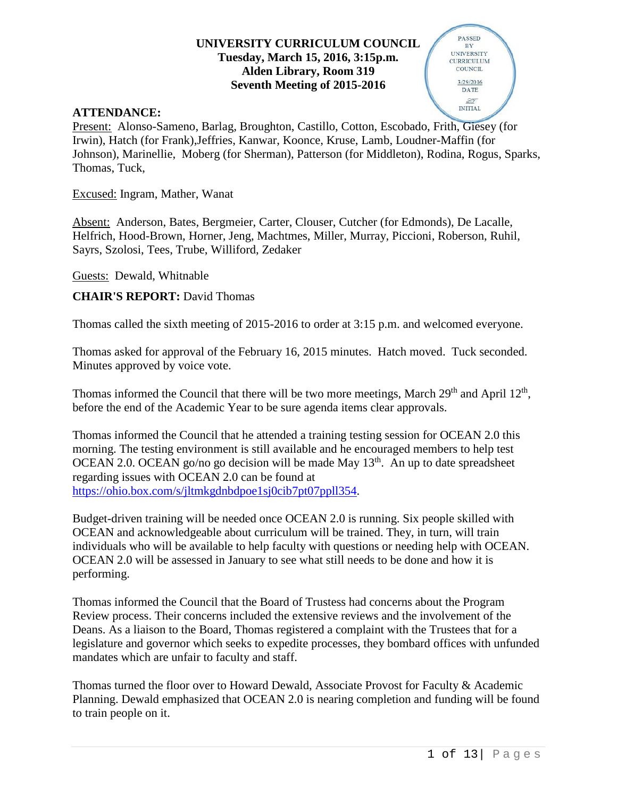#### **UNIVERSITY CURRICULUM COUNCIL Tuesday, March 15, 2016, 3:15p.m. Alden Library, Room 319 Seventh Meeting of 2015-2016**

#### **ATTENDANCE:**

Present: Alonso-Sameno, Barlag, Broughton, Castillo, Cotton, Escobado, Frith, Giesey (for Irwin), Hatch (for Frank),Jeffries, Kanwar, Koonce, Kruse, Lamb, Loudner-Maffin (for Johnson), Marinellie, Moberg (for Sherman), Patterson (for Middleton), Rodina, Rogus, Sparks, Thomas, Tuck,

Excused: Ingram, Mather, Wanat

Absent: Anderson, Bates, Bergmeier, Carter, Clouser, Cutcher (for Edmonds), De Lacalle, Helfrich, Hood-Brown, Horner, Jeng, Machtmes, Miller, Murray, Piccioni, Roberson, Ruhil, Sayrs, Szolosi, Tees, Trube, Williford, Zedaker

Guests: Dewald, Whitnable

**CHAIR'S REPORT:** David Thomas

Thomas called the sixth meeting of 2015-2016 to order at 3:15 p.m. and welcomed everyone.

Thomas asked for approval of the February 16, 2015 minutes. Hatch moved. Tuck seconded. Minutes approved by voice vote.

Thomas informed the Council that there will be two more meetings, March  $29<sup>th</sup>$  and April  $12<sup>th</sup>$ , before the end of the Academic Year to be sure agenda items clear approvals.

Thomas informed the Council that he attended a training testing session for OCEAN 2.0 this morning. The testing environment is still available and he encouraged members to help test OCEAN 2.0. OCEAN go/no go decision will be made May  $13<sup>th</sup>$ . An up to date spreadsheet regarding issues with OCEAN 2.0 can be found at [https://ohio.box.com/s/jltmkgdnbdpoe1sj0cib7pt07ppll354.](https://ohio.box.com/s/jltmkgdnbdpoe1sj0cib7pt07ppll354)

Budget-driven training will be needed once OCEAN 2.0 is running. Six people skilled with OCEAN and acknowledgeable about curriculum will be trained. They, in turn, will train individuals who will be available to help faculty with questions or needing help with OCEAN. OCEAN 2.0 will be assessed in January to see what still needs to be done and how it is performing.

Thomas informed the Council that the Board of Trustess had concerns about the Program Review process. Their concerns included the extensive reviews and the involvement of the Deans. As a liaison to the Board, Thomas registered a complaint with the Trustees that for a legislature and governor which seeks to expedite processes, they bombard offices with unfunded mandates which are unfair to faculty and staff.

Thomas turned the floor over to Howard Dewald, Associate Provost for Faculty & Academic Planning. Dewald emphasized that OCEAN 2.0 is nearing completion and funding will be found to train people on it.

**PASSED**  $BY$ **UNIVERSITY CURRICULUM COUNCIL** 3/29/2016 DATE **INITIAL**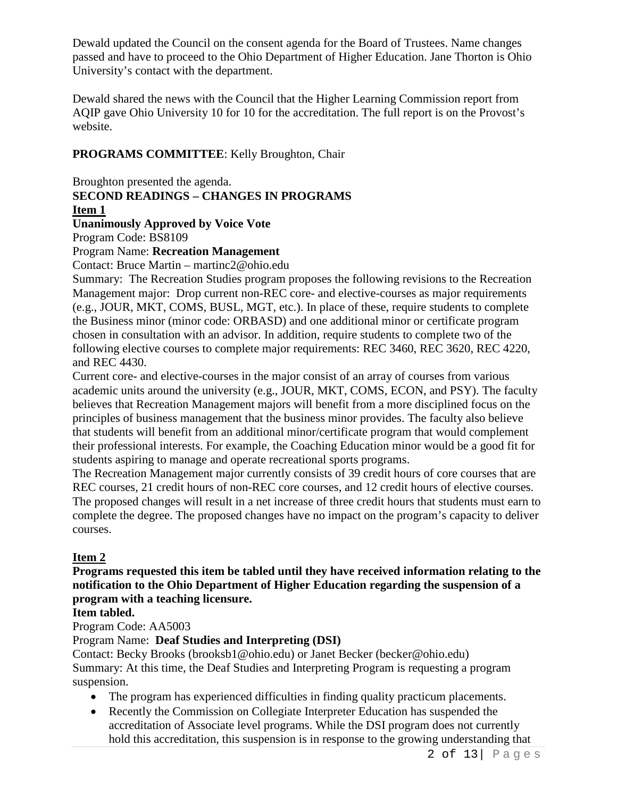Dewald updated the Council on the consent agenda for the Board of Trustees. Name changes passed and have to proceed to the Ohio Department of Higher Education. Jane Thorton is Ohio University's contact with the department.

Dewald shared the news with the Council that the Higher Learning Commission report from AQIP gave Ohio University 10 for 10 for the accreditation. The full report is on the Provost's website.

#### **PROGRAMS COMMITTEE**: Kelly Broughton, Chair

Broughton presented the agenda. **SECOND READINGS – CHANGES IN PROGRAMS**

#### **Item 1**

#### **Unanimously Approved by Voice Vote**

Program Code: BS8109

#### Program Name: **Recreation Management**

Contact: Bruce Martin – martinc2@ohio.edu

Summary: The Recreation Studies program proposes the following revisions to the Recreation Management major: Drop current non-REC core- and elective-courses as major requirements (e.g., JOUR, MKT, COMS, BUSL, MGT, etc.). In place of these, require students to complete the Business minor (minor code: ORBASD) and one additional minor or certificate program chosen in consultation with an advisor. In addition, require students to complete two of the following elective courses to complete major requirements: REC 3460, REC 3620, REC 4220, and REC 4430.

Current core- and elective-courses in the major consist of an array of courses from various academic units around the university (e.g., JOUR, MKT, COMS, ECON, and PSY). The faculty believes that Recreation Management majors will benefit from a more disciplined focus on the principles of business management that the business minor provides. The faculty also believe that students will benefit from an additional minor/certificate program that would complement their professional interests. For example, the Coaching Education minor would be a good fit for students aspiring to manage and operate recreational sports programs.

The Recreation Management major currently consists of 39 credit hours of core courses that are REC courses, 21 credit hours of non-REC core courses, and 12 credit hours of elective courses. The proposed changes will result in a net increase of three credit hours that students must earn to complete the degree. The proposed changes have no impact on the program's capacity to deliver courses.

#### **Item 2**

**Programs requested this item be tabled until they have received information relating to the notification to the Ohio Department of Higher Education regarding the suspension of a program with a teaching licensure.**

#### **Item tabled.**

Program Code: AA5003

#### Program Name: **Deaf Studies and Interpreting (DSI)**

Contact: Becky Brooks (brooksb1@ohio.edu) or Janet Becker (becker@ohio.edu) Summary: At this time, the Deaf Studies and Interpreting Program is requesting a program suspension.

- The program has experienced difficulties in finding quality practicum placements.
- Recently the Commission on Collegiate Interpreter Education has suspended the accreditation of Associate level programs. While the DSI program does not currently hold this accreditation, this suspension is in response to the growing understanding that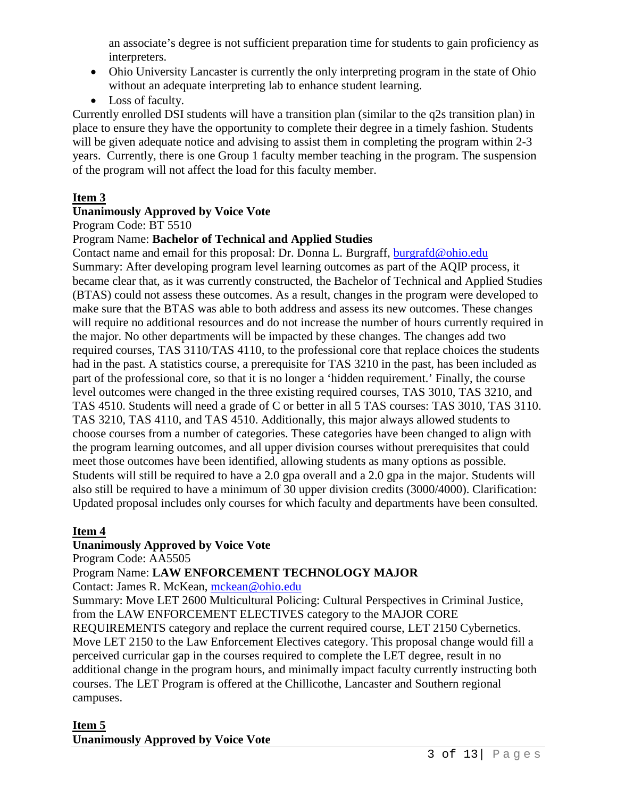an associate's degree is not sufficient preparation time for students to gain proficiency as interpreters.

- Ohio University Lancaster is currently the only interpreting program in the state of Ohio without an adequate interpreting lab to enhance student learning.
- Loss of faculty.

Currently enrolled DSI students will have a transition plan (similar to the q2s transition plan) in place to ensure they have the opportunity to complete their degree in a timely fashion. Students will be given adequate notice and advising to assist them in completing the program within 2-3 years. Currently, there is one Group 1 faculty member teaching in the program. The suspension of the program will not affect the load for this faculty member.

# **Item 3**

#### **Unanimously Approved by Voice Vote**

Program Code: BT 5510

#### Program Name: **Bachelor of Technical and Applied Studies**

Contact name and email for this proposal: Dr. Donna L. Burgraff, [burgrafd@ohio.edu](mailto:burgrafd@ohio.edu) Summary: After developing program level learning outcomes as part of the AQIP process, it became clear that, as it was currently constructed, the Bachelor of Technical and Applied Studies (BTAS) could not assess these outcomes. As a result, changes in the program were developed to make sure that the BTAS was able to both address and assess its new outcomes. These changes will require no additional resources and do not increase the number of hours currently required in the major. No other departments will be impacted by these changes. The changes add two required courses, TAS 3110/TAS 4110, to the professional core that replace choices the students had in the past. A statistics course, a prerequisite for TAS 3210 in the past, has been included as part of the professional core, so that it is no longer a 'hidden requirement.' Finally, the course level outcomes were changed in the three existing required courses, TAS 3010, TAS 3210, and TAS 4510. Students will need a grade of C or better in all 5 TAS courses: TAS 3010, TAS 3110. TAS 3210, TAS 4110, and TAS 4510. Additionally, this major always allowed students to choose courses from a number of categories. These categories have been changed to align with the program learning outcomes, and all upper division courses without prerequisites that could meet those outcomes have been identified, allowing students as many options as possible. Students will still be required to have a 2.0 gpa overall and a 2.0 gpa in the major. Students will also still be required to have a minimum of 30 upper division credits (3000/4000). Clarification: Updated proposal includes only courses for which faculty and departments have been consulted.

## **Item 4**

## **Unanimously Approved by Voice Vote**

Program Code: AA5505

## Program Name: **LAW ENFORCEMENT TECHNOLOGY MAJOR**

Contact: James R. McKean, [mckean@ohio.edu](mailto:mckean@ohio.edu)

Summary: Move LET 2600 Multicultural Policing: Cultural Perspectives in Criminal Justice, from the LAW ENFORCEMENT ELECTIVES category to the MAJOR CORE REQUIREMENTS category and replace the current required course, LET 2150 Cybernetics. Move LET 2150 to the Law Enforcement Electives category. This proposal change would fill a perceived curricular gap in the courses required to complete the LET degree, result in no additional change in the program hours, and minimally impact faculty currently instructing both courses. The LET Program is offered at the Chillicothe, Lancaster and Southern regional campuses.

#### **Item 5 Unanimously Approved by Voice Vote**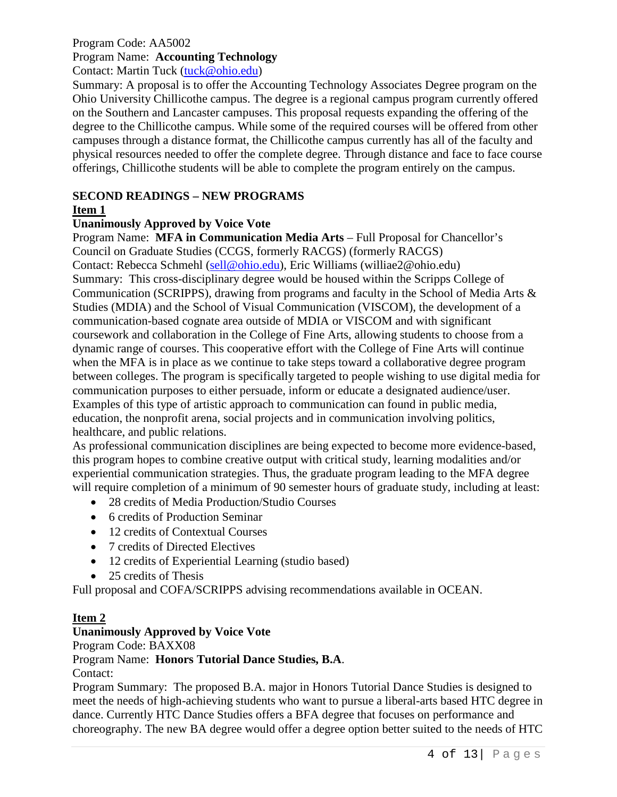#### Program Code: AA5002 Program Name: **Accounting Technology**

Contact: Martin Tuck [\(tuck@ohio.edu\)](mailto:tuck@ohio.edu)

Summary: A proposal is to offer the Accounting Technology Associates Degree program on the Ohio University Chillicothe campus. The degree is a regional campus program currently offered on the Southern and Lancaster campuses. This proposal requests expanding the offering of the degree to the Chillicothe campus. While some of the required courses will be offered from other campuses through a distance format, the Chillicothe campus currently has all of the faculty and physical resources needed to offer the complete degree. Through distance and face to face course offerings, Chillicothe students will be able to complete the program entirely on the campus.

#### **SECOND READINGS – NEW PROGRAMS**

#### **Item 1**

#### **Unanimously Approved by Voice Vote**

Program Name: **MFA in Communication Media Arts** – Full Proposal for Chancellor's Council on Graduate Studies (CCGS, formerly RACGS) (formerly RACGS) Contact: Rebecca Schmehl [\(sell@ohio.edu\)](mailto:sell@ohio.edu), Eric Williams (williae2@ohio.edu) Summary: This cross-disciplinary degree would be housed within the Scripps College of Communication (SCRIPPS), drawing from programs and faculty in the School of Media Arts & Studies (MDIA) and the School of Visual Communication (VISCOM), the development of a communication-based cognate area outside of MDIA or VISCOM and with significant coursework and collaboration in the College of Fine Arts, allowing students to choose from a dynamic range of courses. This cooperative effort with the College of Fine Arts will continue when the MFA is in place as we continue to take steps toward a collaborative degree program between colleges. The program is specifically targeted to people wishing to use digital media for communication purposes to either persuade, inform or educate a designated audience/user. Examples of this type of artistic approach to communication can found in public media, education, the nonprofit arena, social projects and in communication involving politics, healthcare, and public relations.

As professional communication disciplines are being expected to become more evidence-based, this program hopes to combine creative output with critical study, learning modalities and/or experiential communication strategies. Thus, the graduate program leading to the MFA degree will require completion of a minimum of 90 semester hours of graduate study, including at least:

- 28 credits of Media Production/Studio Courses
- 6 credits of Production Seminar
- 12 credits of Contextual Courses
- 7 credits of Directed Electives
- 12 credits of Experiential Learning (studio based)
- 25 credits of Thesis

Full proposal and COFA/SCRIPPS advising recommendations available in OCEAN.

#### **Item 2**

#### **Unanimously Approved by Voice Vote**

Program Code: BAXX08

## Program Name: **Honors Tutorial Dance Studies, B.A**.

Contact:

Program Summary: The proposed B.A. major in Honors Tutorial Dance Studies is designed to meet the needs of high-achieving students who want to pursue a liberal-arts based HTC degree in dance. Currently HTC Dance Studies offers a BFA degree that focuses on performance and choreography. The new BA degree would offer a degree option better suited to the needs of HTC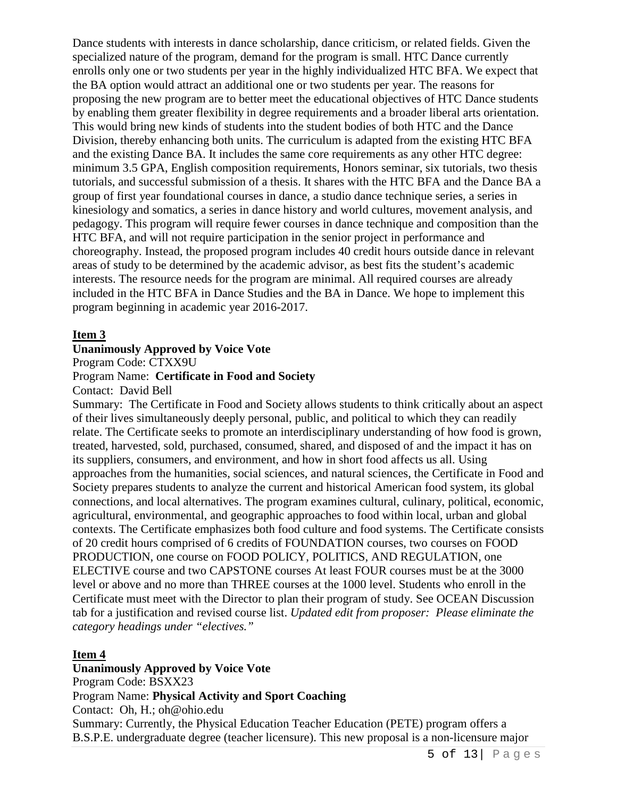Dance students with interests in dance scholarship, dance criticism, or related fields. Given the specialized nature of the program, demand for the program is small. HTC Dance currently enrolls only one or two students per year in the highly individualized HTC BFA. We expect that the BA option would attract an additional one or two students per year. The reasons for proposing the new program are to better meet the educational objectives of HTC Dance students by enabling them greater flexibility in degree requirements and a broader liberal arts orientation. This would bring new kinds of students into the student bodies of both HTC and the Dance Division, thereby enhancing both units. The curriculum is adapted from the existing HTC BFA and the existing Dance BA. It includes the same core requirements as any other HTC degree: minimum 3.5 GPA, English composition requirements, Honors seminar, six tutorials, two thesis tutorials, and successful submission of a thesis. It shares with the HTC BFA and the Dance BA a group of first year foundational courses in dance, a studio dance technique series, a series in kinesiology and somatics, a series in dance history and world cultures, movement analysis, and pedagogy. This program will require fewer courses in dance technique and composition than the HTC BFA, and will not require participation in the senior project in performance and choreography. Instead, the proposed program includes 40 credit hours outside dance in relevant areas of study to be determined by the academic advisor, as best fits the student's academic interests. The resource needs for the program are minimal. All required courses are already included in the HTC BFA in Dance Studies and the BA in Dance. We hope to implement this program beginning in academic year 2016-2017.

#### **Item 3**

#### **Unanimously Approved by Voice Vote**

Program Code: CTXX9U

#### Program Name: **Certificate in Food and Society**

Contact: David Bell

Summary: The Certificate in Food and Society allows students to think critically about an aspect of their lives simultaneously deeply personal, public, and political to which they can readily relate. The Certificate seeks to promote an interdisciplinary understanding of how food is grown, treated, harvested, sold, purchased, consumed, shared, and disposed of and the impact it has on its suppliers, consumers, and environment, and how in short food affects us all. Using approaches from the humanities, social sciences, and natural sciences, the Certificate in Food and Society prepares students to analyze the current and historical American food system, its global connections, and local alternatives. The program examines cultural, culinary, political, economic, agricultural, environmental, and geographic approaches to food within local, urban and global contexts. The Certificate emphasizes both food culture and food systems. The Certificate consists of 20 credit hours comprised of 6 credits of FOUNDATION courses, two courses on FOOD PRODUCTION, one course on FOOD POLICY, POLITICS, AND REGULATION, one ELECTIVE course and two CAPSTONE courses At least FOUR courses must be at the 3000 level or above and no more than THREE courses at the 1000 level. Students who enroll in the Certificate must meet with the Director to plan their program of study. See OCEAN Discussion tab for a justification and revised course list. *Updated edit from proposer: Please eliminate the category headings under "electives."*

#### **Item 4**

**Unanimously Approved by Voice Vote** Program Code: BSXX23 Program Name: **Physical Activity and Sport Coaching** Contact: Oh, H.; oh@ohio.edu Summary: Currently, the Physical Education Teacher Education (PETE) program offers a B.S.P.E. undergraduate degree (teacher licensure). This new proposal is a non-licensure major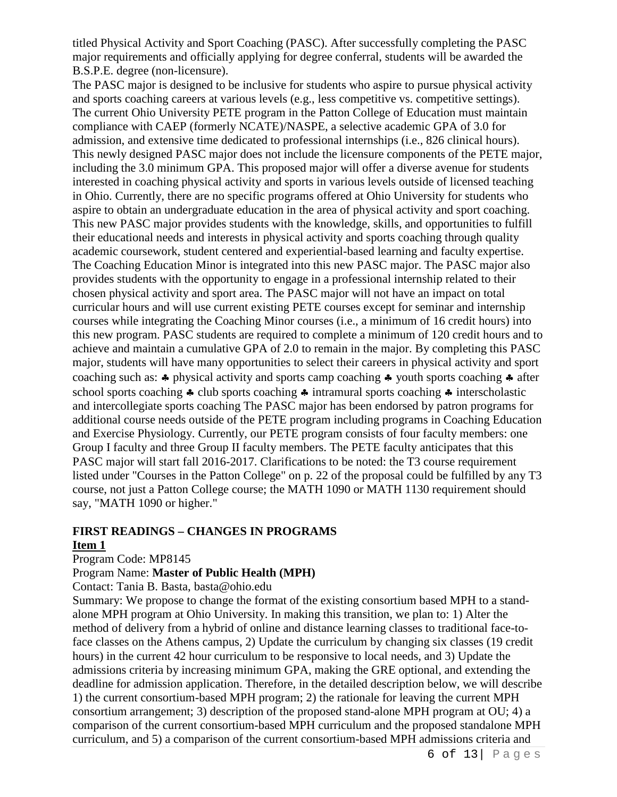titled Physical Activity and Sport Coaching (PASC). After successfully completing the PASC major requirements and officially applying for degree conferral, students will be awarded the B.S.P.E. degree (non-licensure).

The PASC major is designed to be inclusive for students who aspire to pursue physical activity and sports coaching careers at various levels (e.g., less competitive vs. competitive settings). The current Ohio University PETE program in the Patton College of Education must maintain compliance with CAEP (formerly NCATE)/NASPE, a selective academic GPA of 3.0 for admission, and extensive time dedicated to professional internships (i.e., 826 clinical hours). This newly designed PASC major does not include the licensure components of the PETE major, including the 3.0 minimum GPA. This proposed major will offer a diverse avenue for students interested in coaching physical activity and sports in various levels outside of licensed teaching in Ohio. Currently, there are no specific programs offered at Ohio University for students who aspire to obtain an undergraduate education in the area of physical activity and sport coaching. This new PASC major provides students with the knowledge, skills, and opportunities to fulfill their educational needs and interests in physical activity and sports coaching through quality academic coursework, student centered and experiential-based learning and faculty expertise. The Coaching Education Minor is integrated into this new PASC major. The PASC major also provides students with the opportunity to engage in a professional internship related to their chosen physical activity and sport area. The PASC major will not have an impact on total curricular hours and will use current existing PETE courses except for seminar and internship courses while integrating the Coaching Minor courses (i.e., a minimum of 16 credit hours) into this new program. PASC students are required to complete a minimum of 120 credit hours and to achieve and maintain a cumulative GPA of 2.0 to remain in the major. By completing this PASC major, students will have many opportunities to select their careers in physical activity and sport coaching such as: ♣ physical activity and sports camp coaching ♣ youth sports coaching ♣ after school sports coaching ♣ club sports coaching ♣ intramural sports coaching ♣ interscholastic and intercollegiate sports coaching The PASC major has been endorsed by patron programs for additional course needs outside of the PETE program including programs in Coaching Education and Exercise Physiology. Currently, our PETE program consists of four faculty members: one Group I faculty and three Group II faculty members. The PETE faculty anticipates that this PASC major will start fall 2016-2017. Clarifications to be noted: the T3 course requirement listed under "Courses in the Patton College" on p. 22 of the proposal could be fulfilled by any T3 course, not just a Patton College course; the MATH 1090 or MATH 1130 requirement should say, "MATH 1090 or higher."

# **FIRST READINGS – CHANGES IN PROGRAMS**

#### **Item 1**

Program Code: MP8145

Program Name: **Master of Public Health (MPH)**

Contact: Tania B. Basta, basta@ohio.edu

Summary: We propose to change the format of the existing consortium based MPH to a standalone MPH program at Ohio University. In making this transition, we plan to: 1) Alter the method of delivery from a hybrid of online and distance learning classes to traditional face-toface classes on the Athens campus, 2) Update the curriculum by changing six classes (19 credit hours) in the current 42 hour curriculum to be responsive to local needs, and 3) Update the admissions criteria by increasing minimum GPA, making the GRE optional, and extending the deadline for admission application. Therefore, in the detailed description below, we will describe 1) the current consortium-based MPH program; 2) the rationale for leaving the current MPH consortium arrangement; 3) description of the proposed stand-alone MPH program at OU; 4) a comparison of the current consortium-based MPH curriculum and the proposed standalone MPH curriculum, and 5) a comparison of the current consortium-based MPH admissions criteria and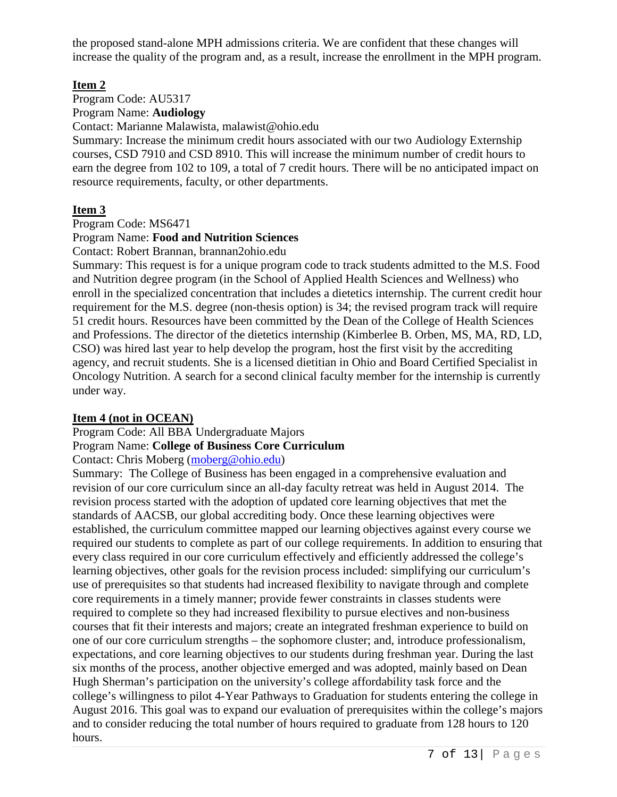the proposed stand-alone MPH admissions criteria. We are confident that these changes will increase the quality of the program and, as a result, increase the enrollment in the MPH program.

#### **Item 2**

Program Code: AU5317 Program Name: **Audiology**

Contact: Marianne Malawista, malawist@ohio.edu

Summary: Increase the minimum credit hours associated with our two Audiology Externship courses, CSD 7910 and CSD 8910. This will increase the minimum number of credit hours to earn the degree from 102 to 109, a total of 7 credit hours. There will be no anticipated impact on resource requirements, faculty, or other departments.

## **Item 3**

Program Code: MS6471

## Program Name: **Food and Nutrition Sciences**

Contact: Robert Brannan, brannan2ohio.edu

Summary: This request is for a unique program code to track students admitted to the M.S. Food and Nutrition degree program (in the School of Applied Health Sciences and Wellness) who enroll in the specialized concentration that includes a dietetics internship. The current credit hour requirement for the M.S. degree (non-thesis option) is 34; the revised program track will require 51 credit hours. Resources have been committed by the Dean of the College of Health Sciences and Professions. The director of the dietetics internship (Kimberlee B. Orben, MS, MA, RD, LD, CSO) was hired last year to help develop the program, host the first visit by the accrediting agency, and recruit students. She is a licensed dietitian in Ohio and Board Certified Specialist in Oncology Nutrition. A search for a second clinical faculty member for the internship is currently under way.

## **Item 4 (not in OCEAN)**

Program Code: All BBA Undergraduate Majors

# Program Name: **College of Business Core Curriculum**

Contact: Chris Moberg [\(moberg@ohio.edu\)](mailto:moberg@ohio.edu)

Summary: The College of Business has been engaged in a comprehensive evaluation and revision of our core curriculum since an all-day faculty retreat was held in August 2014. The revision process started with the adoption of updated core learning objectives that met the standards of AACSB, our global accrediting body. Once these learning objectives were established, the curriculum committee mapped our learning objectives against every course we required our students to complete as part of our college requirements. In addition to ensuring that every class required in our core curriculum effectively and efficiently addressed the college's learning objectives, other goals for the revision process included: simplifying our curriculum's use of prerequisites so that students had increased flexibility to navigate through and complete core requirements in a timely manner; provide fewer constraints in classes students were required to complete so they had increased flexibility to pursue electives and non-business courses that fit their interests and majors; create an integrated freshman experience to build on one of our core curriculum strengths – the sophomore cluster; and, introduce professionalism, expectations, and core learning objectives to our students during freshman year. During the last six months of the process, another objective emerged and was adopted, mainly based on Dean Hugh Sherman's participation on the university's college affordability task force and the college's willingness to pilot 4-Year Pathways to Graduation for students entering the college in August 2016. This goal was to expand our evaluation of prerequisites within the college's majors and to consider reducing the total number of hours required to graduate from 128 hours to 120 hours.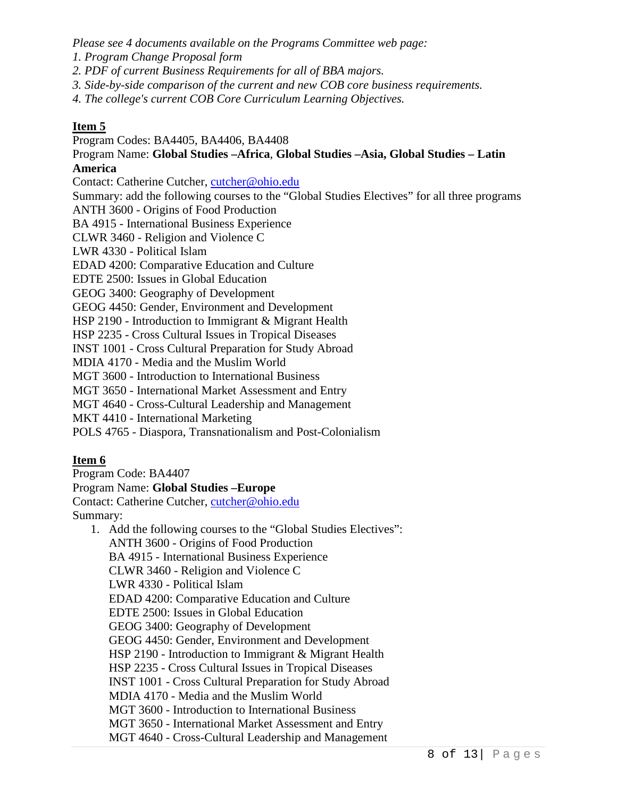*Please see 4 documents available on the Programs Committee web page:*

*1. Program Change Proposal form*

- *2. PDF of current Business Requirements for all of BBA majors.*
- *3. Side-by-side comparison of the current and new COB core business requirements.*
- *4. The college's current COB Core Curriculum Learning Objectives.*

#### **Item 5**

Program Codes: BA4405, BA4406, BA4408

Program Name: **Global Studies –Africa**, **Global Studies –Asia, Global Studies – Latin America**

Contact: Catherine Cutcher, [cutcher@ohio.edu](mailto:cutcher@ohio.edu)

Summary: add the following courses to the "Global Studies Electives" for all three programs ANTH 3600 - Origins of Food Production

BA 4915 - International Business Experience

CLWR 3460 - Religion and Violence C

LWR 4330 - Political Islam

EDAD 4200: Comparative Education and Culture

EDTE 2500: Issues in Global Education

GEOG 3400: Geography of Development

GEOG 4450: Gender, Environment and Development

HSP 2190 - Introduction to Immigrant & Migrant Health

HSP 2235 - Cross Cultural Issues in Tropical Diseases

INST 1001 - Cross Cultural Preparation for Study Abroad

MDIA 4170 - Media and the Muslim World

MGT 3600 - Introduction to International Business

MGT 3650 - International Market Assessment and Entry

MGT 4640 - Cross-Cultural Leadership and Management

MKT 4410 - International Marketing

POLS 4765 - Diaspora, Transnationalism and Post-Colonialism

#### **Item 6**

Program Code: BA4407

Program Name: **Global Studies –Europe**

Contact: Catherine Cutcher, [cutcher@ohio.edu](mailto:cutcher@ohio.edu) Summary:

1. Add the following courses to the "Global Studies Electives": ANTH 3600 - Origins of Food Production BA 4915 - International Business Experience CLWR 3460 - Religion and Violence C LWR 4330 - Political Islam EDAD 4200: Comparative Education and Culture EDTE 2500: Issues in Global Education GEOG 3400: Geography of Development GEOG 4450: Gender, Environment and Development HSP 2190 - Introduction to Immigrant & Migrant Health HSP 2235 - Cross Cultural Issues in Tropical Diseases INST 1001 - Cross Cultural Preparation for Study Abroad MDIA 4170 - Media and the Muslim World MGT 3600 - Introduction to International Business MGT 3650 - International Market Assessment and Entry MGT 4640 - Cross-Cultural Leadership and Management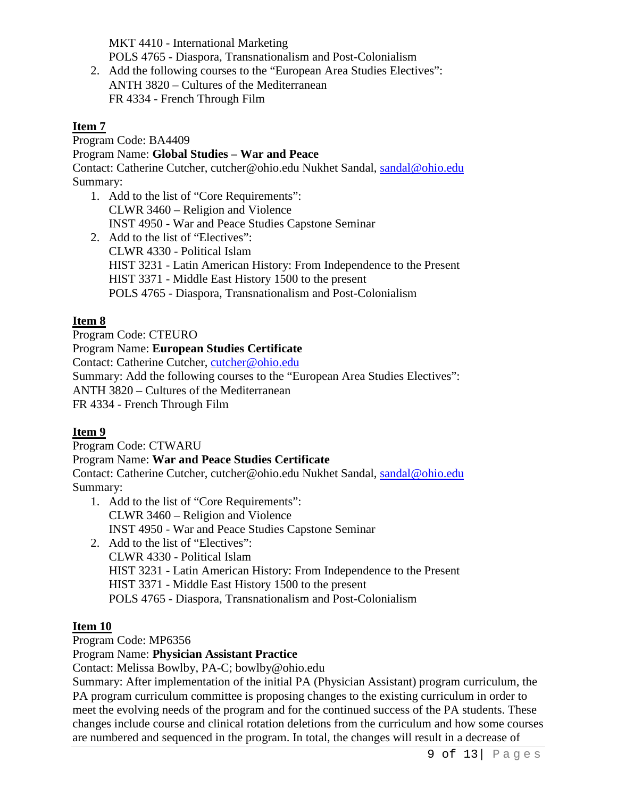MKT 4410 - International Marketing POLS 4765 - Diaspora, Transnationalism and Post-Colonialism

2. Add the following courses to the "European Area Studies Electives": ANTH 3820 – Cultures of the Mediterranean FR 4334 - French Through Film

#### **Item 7**

Program Code: BA4409

#### Program Name: **Global Studies – War and Peace**

Contact: Catherine Cutcher, cutcher@ohio.edu Nukhet Sandal, [sandal@ohio.edu](mailto:sandal@ohio.edu) Summary:

- 1. Add to the list of "Core Requirements": CLWR 3460 – Religion and Violence INST 4950 - War and Peace Studies Capstone Seminar
- 2. Add to the list of "Electives": CLWR 4330 - Political Islam HIST 3231 - Latin American History: From Independence to the Present HIST 3371 - Middle East History 1500 to the present POLS 4765 - Diaspora, Transnationalism and Post-Colonialism

# **Item 8**

Program Code: CTEURO

Program Name: **European Studies Certificate**

Contact: Catherine Cutcher, [cutcher@ohio.edu](mailto:cutcher@ohio.edu)

Summary: Add the following courses to the "European Area Studies Electives":

ANTH 3820 – Cultures of the Mediterranean

FR 4334 - French Through Film

## **Item 9**

Program Code: CTWARU

## Program Name: **War and Peace Studies Certificate**

Contact: Catherine Cutcher, cutcher@ohio.edu Nukhet Sandal, [sandal@ohio.edu](mailto:sandal@ohio.edu) Summary:

- 1. Add to the list of "Core Requirements": CLWR 3460 – Religion and Violence INST 4950 - War and Peace Studies Capstone Seminar
- 2. Add to the list of "Electives": CLWR 4330 - Political Islam HIST 3231 - Latin American History: From Independence to the Present HIST 3371 - Middle East History 1500 to the present POLS 4765 - Diaspora, Transnationalism and Post-Colonialism

## **Item 10**

Program Code: MP6356

## Program Name: **Physician Assistant Practice**

Contact: Melissa Bowlby, PA-C; bowlby@ohio.edu

Summary: After implementation of the initial PA (Physician Assistant) program curriculum, the PA program curriculum committee is proposing changes to the existing curriculum in order to meet the evolving needs of the program and for the continued success of the PA students. These changes include course and clinical rotation deletions from the curriculum and how some courses are numbered and sequenced in the program. In total, the changes will result in a decrease of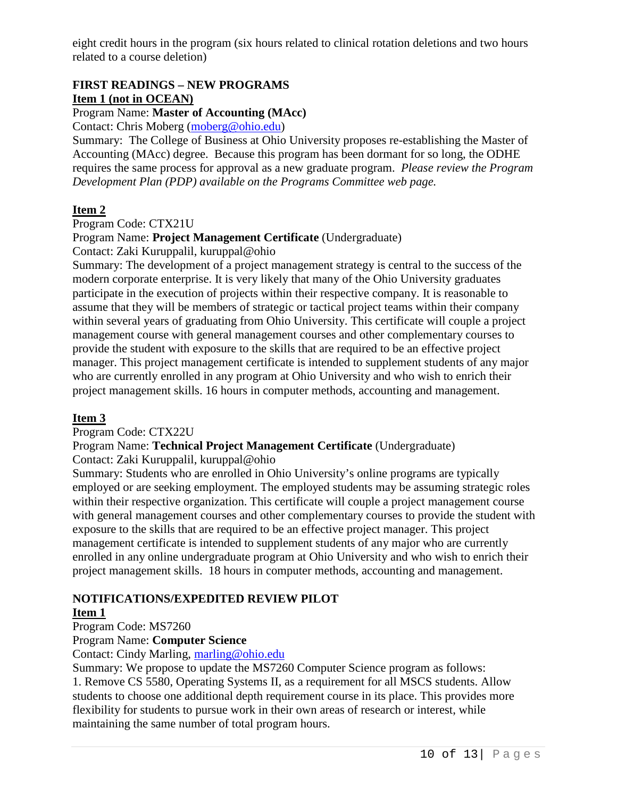eight credit hours in the program (six hours related to clinical rotation deletions and two hours related to a course deletion)

# **FIRST READINGS – NEW PROGRAMS Item 1 (not in OCEAN)**

#### Program Name: **Master of Accounting (MAcc)**

Contact: Chris Moberg [\(moberg@ohio.edu\)](mailto:moberg@ohio.edu)

Summary: The College of Business at Ohio University proposes re-establishing the Master of Accounting (MAcc) degree. Because this program has been dormant for so long, the ODHE requires the same process for approval as a new graduate program. *Please review the Program Development Plan (PDP) available on the Programs Committee web page.*

#### **Item 2**

Program Code: CTX21U

#### Program Name: **Project Management Certificate** (Undergraduate)

Contact: Zaki Kuruppalil, kuruppal@ohio

Summary: The development of a project management strategy is central to the success of the modern corporate enterprise. It is very likely that many of the Ohio University graduates participate in the execution of projects within their respective company. It is reasonable to assume that they will be members of strategic or tactical project teams within their company within several years of graduating from Ohio University. This certificate will couple a project management course with general management courses and other complementary courses to provide the student with exposure to the skills that are required to be an effective project manager. This project management certificate is intended to supplement students of any major who are currently enrolled in any program at Ohio University and who wish to enrich their project management skills. 16 hours in computer methods, accounting and management.

#### **Item 3**

Program Code: CTX22U

Program Name: **Technical Project Management Certificate** (Undergraduate)

Contact: Zaki Kuruppalil, kuruppal@ohio

Summary: Students who are enrolled in Ohio University's online programs are typically employed or are seeking employment. The employed students may be assuming strategic roles within their respective organization. This certificate will couple a project management course with general management courses and other complementary courses to provide the student with exposure to the skills that are required to be an effective project manager. This project management certificate is intended to supplement students of any major who are currently enrolled in any online undergraduate program at Ohio University and who wish to enrich their project management skills. 18 hours in computer methods, accounting and management.

## **NOTIFICATIONS/EXPEDITED REVIEW PILOT**

#### **Item 1**

Program Code: MS7260

#### Program Name: **Computer Science**

Contact: Cindy Marling, [marling@ohio.edu](mailto:marling@ohio.edu)

Summary: We propose to update the MS7260 Computer Science program as follows: 1. Remove CS 5580, Operating Systems II, as a requirement for all MSCS students. Allow students to choose one additional depth requirement course in its place. This provides more flexibility for students to pursue work in their own areas of research or interest, while maintaining the same number of total program hours.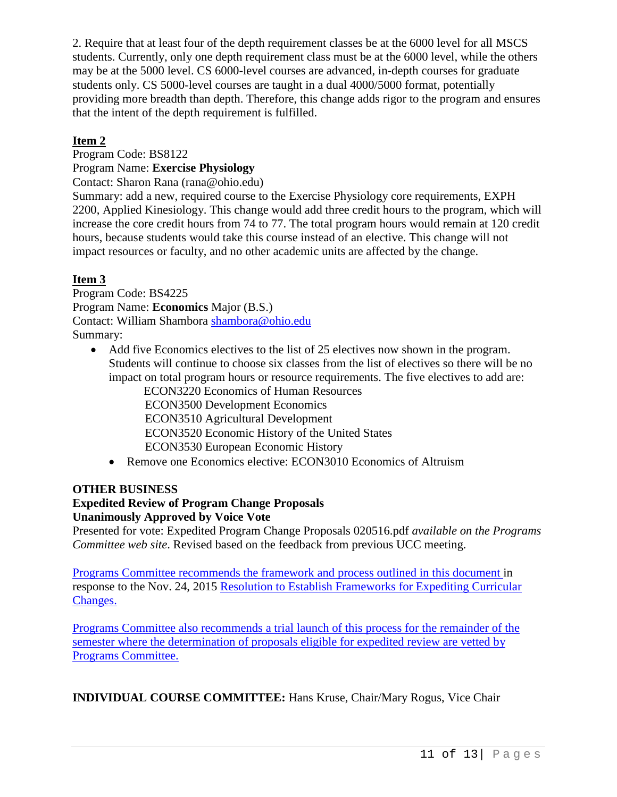2. Require that at least four of the depth requirement classes be at the 6000 level for all MSCS students. Currently, only one depth requirement class must be at the 6000 level, while the others may be at the 5000 level. CS 6000-level courses are advanced, in-depth courses for graduate students only. CS 5000-level courses are taught in a dual 4000/5000 format, potentially providing more breadth than depth. Therefore, this change adds rigor to the program and ensures that the intent of the depth requirement is fulfilled.

## **Item 2**

Program Code: BS8122

Program Name: **Exercise Physiology**

Contact: Sharon Rana (rana@ohio.edu)

Summary: add a new, required course to the Exercise Physiology core requirements, EXPH 2200, Applied Kinesiology. This change would add three credit hours to the program, which will increase the core credit hours from 74 to 77. The total program hours would remain at 120 credit hours, because students would take this course instead of an elective. This change will not impact resources or faculty, and no other academic units are affected by the change.

#### **Item 3**

Program Code: BS4225 Program Name: **Economics** Major (B.S.) Contact: William Shambora [shambora@ohio.edu](mailto:shambora@ohio.edu) Summary:

• Add five Economics electives to the list of 25 electives now shown in the program. Students will continue to choose six classes from the list of electives so there will be no impact on total program hours or resource requirements. The five electives to add are:

ECON3220 Economics of Human Resources ECON3500 Development Economics ECON3510 Agricultural Development ECON3520 Economic History of the United States ECON3530 European Economic History

• Remove one Economics elective: ECON3010 Economics of Altruism

#### **OTHER BUSINESS**

# **Expedited Review of Program Change Proposals**

#### **Unanimously Approved by Voice Vote**

Presented for vote: Expedited Program Change Proposals 020516.pdf *available on the Programs Committee web site*. Revised based on the feedback from previous UCC meeting.

Programs Committee recommends the framework and process outlined in this document in response to the Nov. 24, 2015 [Resolution to Establish Frameworks for Expediting Curricular](https://www.ohio.edu/facultysenate/committees/ucc/upload/Resolution-on-Expedited-Framework-second.pdf)  [Changes.](https://www.ohio.edu/facultysenate/committees/ucc/upload/Resolution-on-Expedited-Framework-second.pdf)

Programs Committee also recommends a trial launch of this process for the remainder of the semester where the determination of proposals eligible for expedited review are vetted by Programs Committee.

**INDIVIDUAL COURSE COMMITTEE:** Hans Kruse, Chair/Mary Rogus, Vice Chair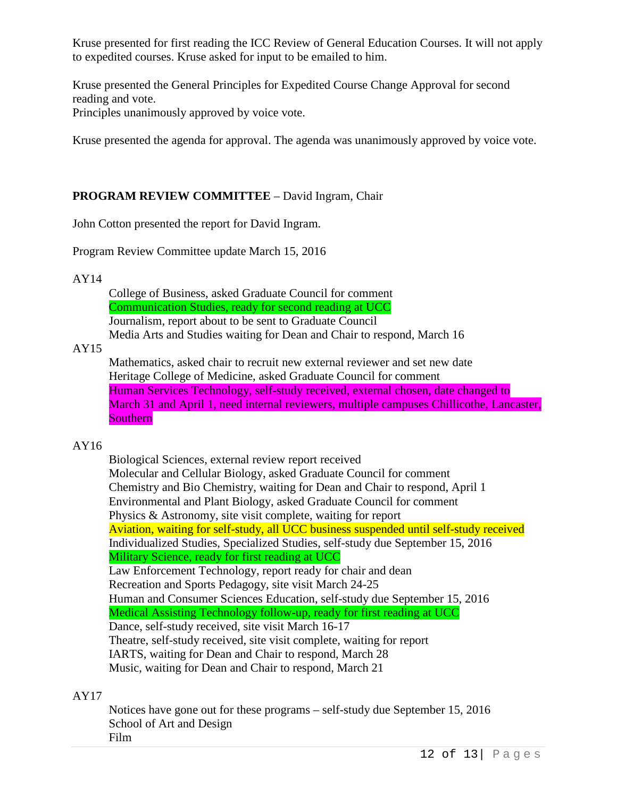Kruse presented for first reading the ICC Review of General Education Courses. It will not apply to expedited courses. Kruse asked for input to be emailed to him.

Kruse presented the General Principles for Expedited Course Change Approval for second reading and vote. Principles unanimously approved by voice vote.

Kruse presented the agenda for approval. The agenda was unanimously approved by voice vote.

# **PROGRAM REVIEW COMMITTEE** – David Ingram, Chair

John Cotton presented the report for David Ingram.

Program Review Committee update March 15, 2016

AY14

College of Business, asked Graduate Council for comment Communication Studies, ready for second reading at UCC Journalism, report about to be sent to Graduate Council Media Arts and Studies waiting for Dean and Chair to respond, March 16

#### AY15

Mathematics, asked chair to recruit new external reviewer and set new date Heritage College of Medicine, asked Graduate Council for comment Human Services Technology, self-study received, external chosen, date changed to March 31 and April 1, need internal reviewers, multiple campuses Chillicothe, Lancaster, Southern

## AY16

Biological Sciences, external review report received Molecular and Cellular Biology, asked Graduate Council for comment Chemistry and Bio Chemistry, waiting for Dean and Chair to respond, April 1 Environmental and Plant Biology, asked Graduate Council for comment Physics & Astronomy, site visit complete, waiting for report Aviation, waiting for self-study, all UCC business suspended until self-study received Individualized Studies, Specialized Studies, self-study due September 15, 2016 Military Science, ready for first reading at UCC Law Enforcement Technology, report ready for chair and dean Recreation and Sports Pedagogy, site visit March 24-25 Human and Consumer Sciences Education, self-study due September 15, 2016 Medical Assisting Technology follow-up, ready for first reading at UCC Dance, self-study received, site visit March 16-17 Theatre, self-study received, site visit complete, waiting for report IARTS, waiting for Dean and Chair to respond, March 28 Music, waiting for Dean and Chair to respond, March 21

#### AY17

Notices have gone out for these programs – self-study due September 15, 2016 School of Art and Design Film